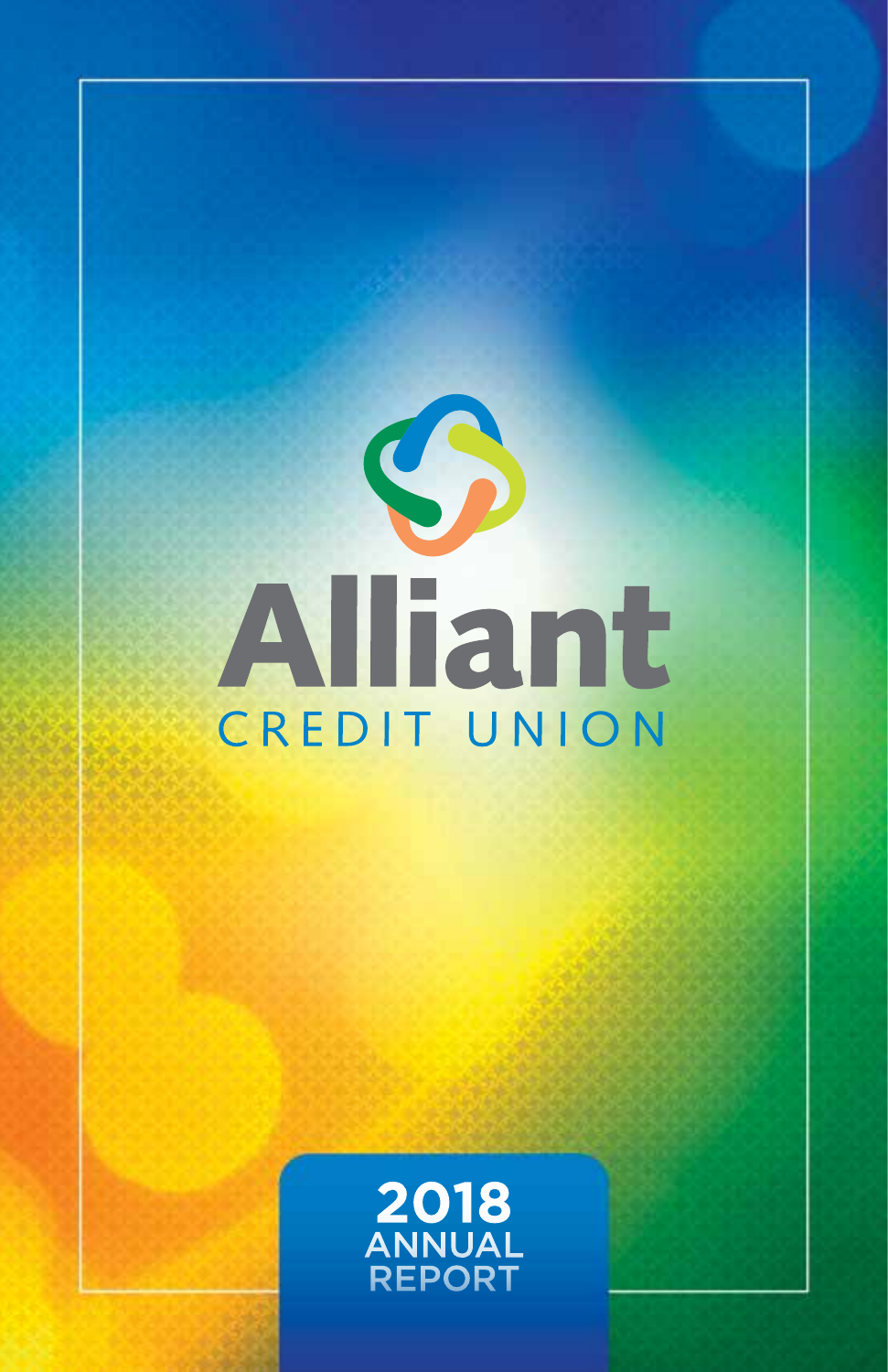

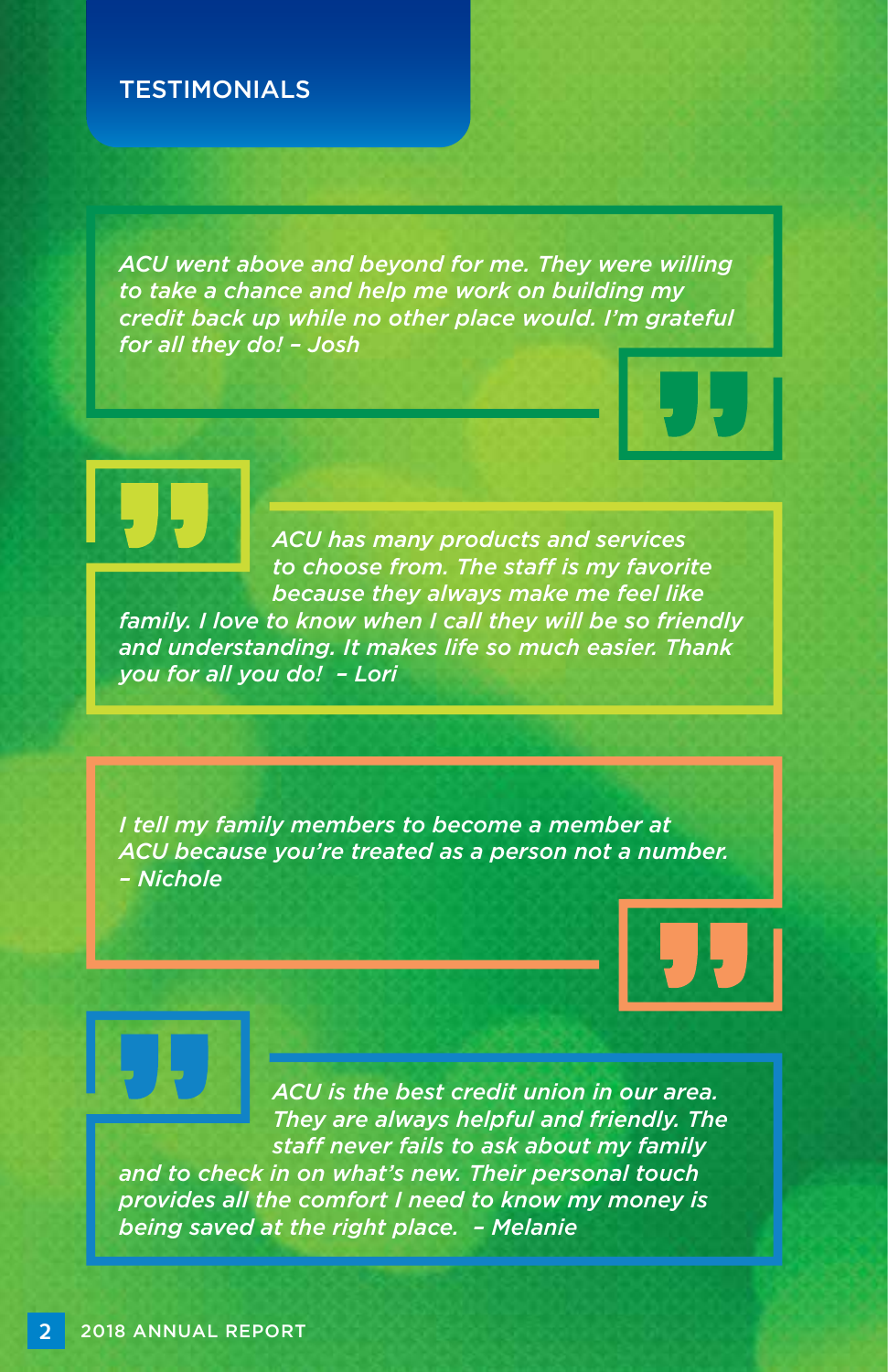#### **TESTIMONIALS**

*ACU went above and beyond for me. They were willing to take a chance and help me work on building my credit back up while no other place would. I'm grateful for all they do! – Josh*



*ACU has many products and services to choose from. The staff is my favorite because they always make me feel like family. I love to know when I call they will be so friendly and understanding. It makes life so much easier. Thank you for all you do! – Lori*

*I tell my family members to become a member at ACU because you're treated as a person not a number. – Nichole*



*ACU is the best credit union in our area. They are always helpful and friendly. The staff never fails to ask about my family and to check in on what's new. Their personal touch provides all the comfort I need to know my money is being saved at the right place. – Melanie*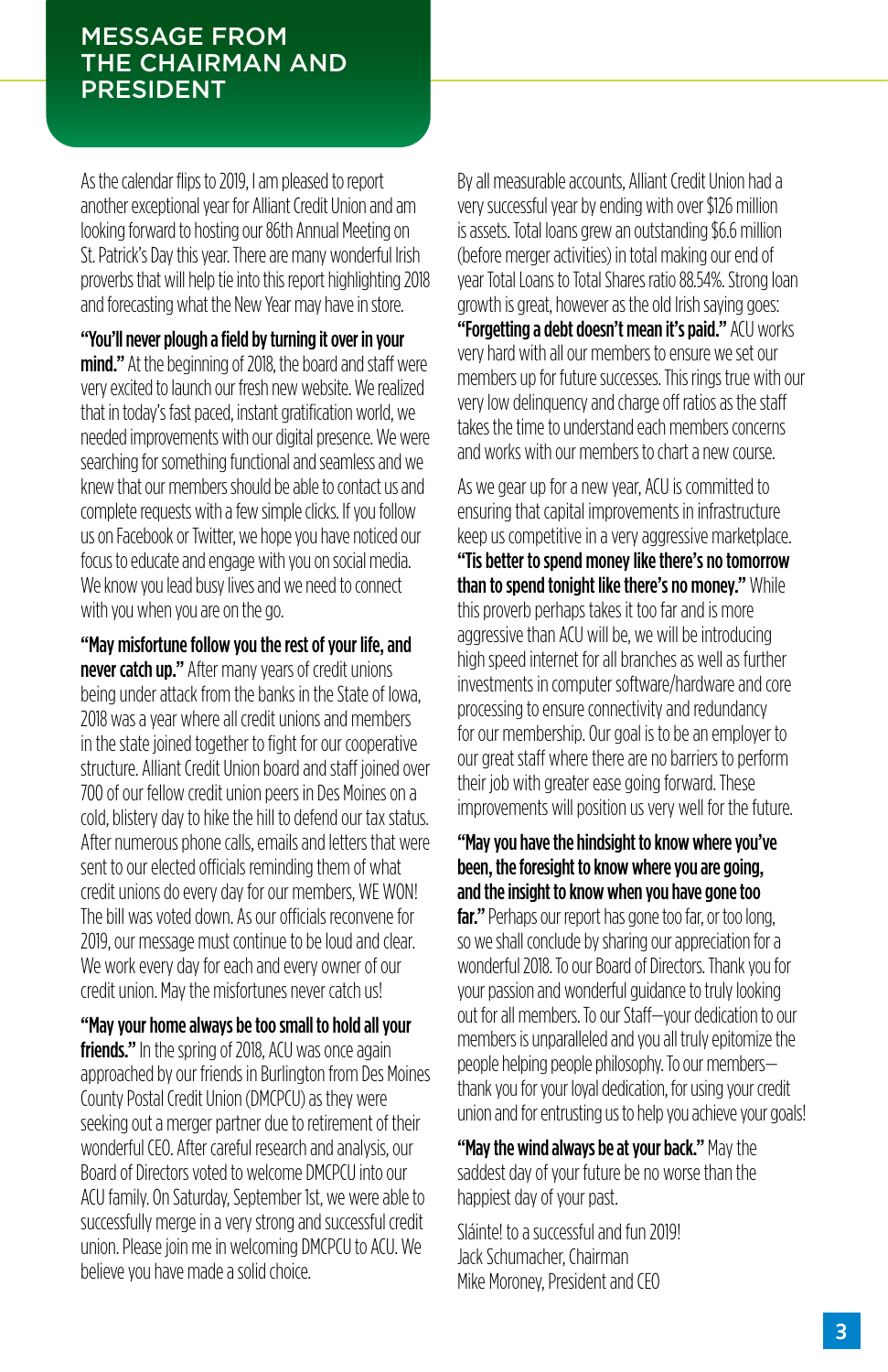#### MESSAGE FROM THE CHAIRMAN AND PRESIDENT

As the calendar flips to 2019, I am pleased to report another exceptional year for Alliant Credit Union and am looking forward to hosting our 86th Annual Meeting on St. Patrick's Day this year. There are many wonderful Irish proverbs that will help tie into this report highlighting 2018 and forecasting what the New Year may have in store.

"You'll never plough a field by turning it over in your mind." At the beginning of 2018, the board and staff were very excited to launch our fresh new website. We realized that in today's fast paced, instant gratification world, we needed improvements with our digital presence. We were searching for something functional and seamless and we knew that our members should be able to contact us and complete requests with a few simple clicks. If you follow us on Facebook or Twitter, we hope you have noticed our focus to educate and engage with you on social media. We know you lead busy lives and we need to connect with you when you are on the go.

"May misfortune follow you the rest of your life, and never catch up." After many years of credit unions being under attack from the banks in the State of Iowa, 2018 was a year where all credit unions and members in the state joined together to fight for our cooperative structure. Alliant Credit Union board and staff joined over 700 of our fellow credit union peers in Des Moines on a cold, blistery day to hike the hill to defend our tax status. After numerous phone calls, emails and letters that were sent to our elected officials reminding them of what credit unions do every day for our members, WE WON! The bill was voted down. As our officials reconvene for 2019, our message must continue to be loud and clear. We work every day for each and every owner of our credit union. May the misfortunes never catch us!

"May your home always be too small to hold all your friends." In the spring of 2018, ACU was once again approached by our friends in Burlington from Des Moines County Postal Credit Union (DMCPCU) as they were seeking out a merger partner due to retirement of their wonderful CEO. After careful research and analysis, our Board of Directors voted to welcome DMCPCU into our ACU family. On Saturday, September 1st, we were able to successfully merge in a very strong and successful credit union. Please join me in welcoming DMCPCU to ACU. We believe you have made a solid choice.

By all measurable accounts, Alliant Credit Union had a very successful year by ending with over \$126 million is assets. Total loans grew an outstanding \$6.6 million (before merger activities) in total making our end of year Total Loans to Total Shares ratio 88.54%. Strong loan growth is great, however as the old Irish saying goes: "Forgetting a debt doesn't mean it's paid." ACU works very hard with all our members to ensure we set our members up for future successes. This rings true with our very low delinquency and charge off ratios as the staff takes the time to understand each members concerns and works with our members to chart a new course.

As we gear up for a new year, ACU is committed to ensuring that capital improvements in infrastructure keep us competitive in a very aggressive marketplace. "Tis better to spend money like there's no tomorrow than to spend tonight like there's no money." While this proverb perhaps takes it too far and is more aggressive than ACU will be, we will be introducing high speed internet for all branches as well as further investments in computer software/hardware and core processing to ensure connectivity and redundancy for our membership. Our goal is to be an employer to our great staff where there are no barriers to perform their job with greater ease going forward. These improvements will position us very well for the future.

"May you have the hindsight to know where you've been, the foresight to know where you are going, and the insight to know when you have gone too far." Perhaps our report has gone too far, or too long, so we shall conclude by sharing our appreciation for a wonderful 2018. To our Board of Directors. Thank you for your passion and wonderful guidance to truly looking out for all members. To our Staff—your dedication to our members is unparalleled and you all truly epitomize the people helping people philosophy. To our members thank you for your loyal dedication, for using your credit union and for entrusting us to help you achieve your goals!

"May the wind always be at your back." May the saddest day of your future be no worse than the happiest day of your past.

Sláinte! to a successful and fun 2019! Jack Schumacher, Chairman Mike Moroney, President and CEO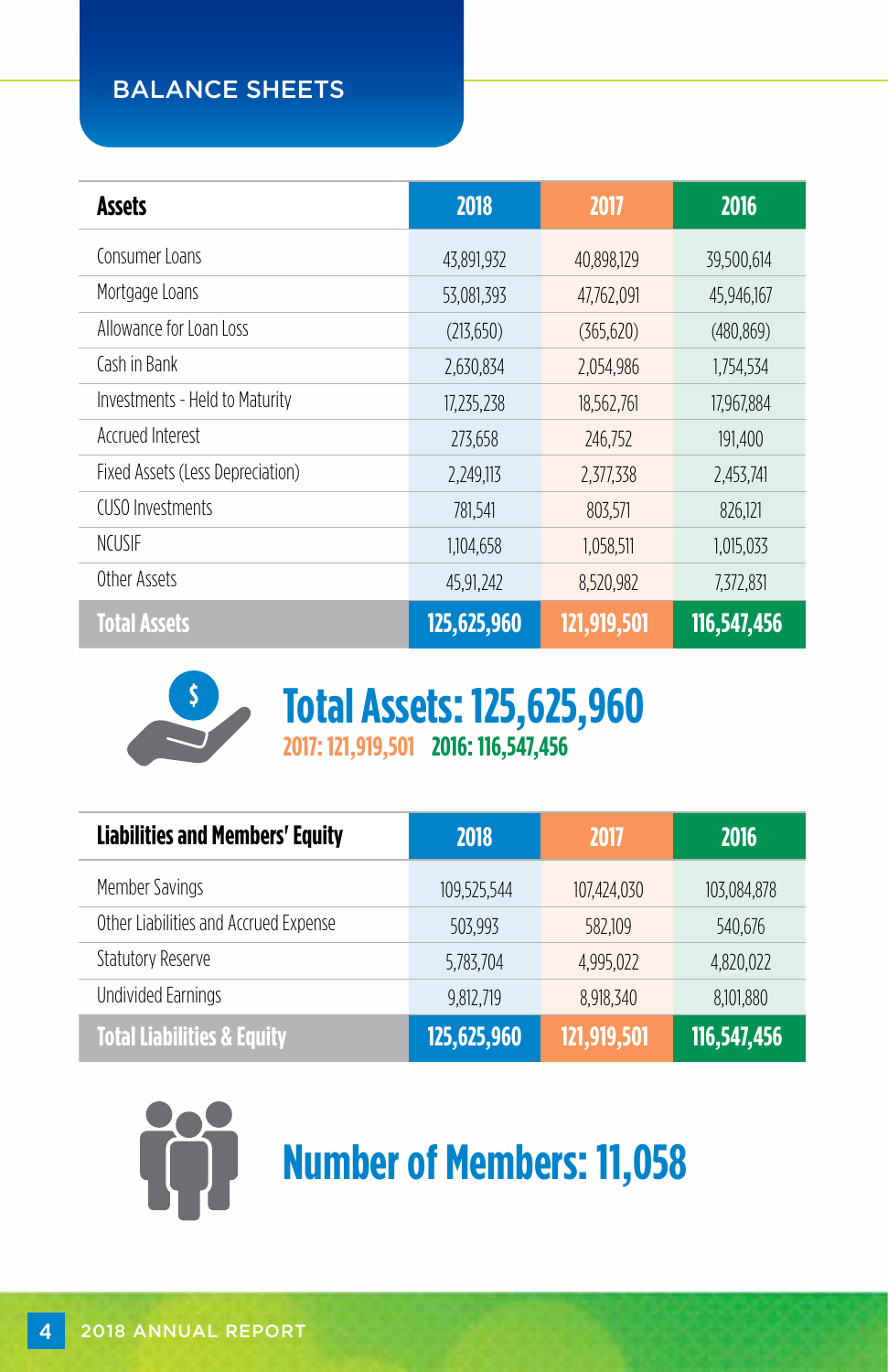## BALANCE SHEETS

| <b>Assets</b>                    | 2018        | 2017        | 2016        |
|----------------------------------|-------------|-------------|-------------|
| Consumer Loans                   | 43,891,932  | 40,898,129  | 39,500,614  |
| Mortgage Loans                   | 53,081,393  | 47,762,091  | 45.946.167  |
| Allowance for Loan Loss          | (213,650)   | (365, 620)  | (480, 869)  |
| Cash in Bank                     | 2,630,834   | 2,054,986   | 1,754,534   |
| Investments - Held to Maturity   | 17,235,238  | 18,562,761  | 17,967,884  |
| Accrued Interest                 | 273,658     | 246,752     | 191,400     |
| Fixed Assets (Less Depreciation) | 2,249,113   | 2,377,338   | 2,453,741   |
| CUSO Investments                 | 781,541     | 803,571     | 826,121     |
| <b>NCUSIF</b>                    | 1,104,658   | 1,058,511   | 1,015,033   |
| Other Assets                     | 45,91,242   | 8,520,982   | 7,372,831   |
| <b>Total Assets</b>              | 125,625,960 | 121,919,501 | 116,547,456 |



**2017: 121,919,501 2016: 116,547,456 \$ Total Assets: 125,625,960**

| <b>Liabilities and Members' Equity</b> | 2018        | 2017        | 2016        |
|----------------------------------------|-------------|-------------|-------------|
| Member Savings                         | 109,525,544 | 107,424,030 | 103,084,878 |
| Other Liabilities and Accrued Expense  | 503.993     | 582.109     | 540.676     |
| <b>Statutory Reserve</b>               | 5,783,704   | 4,995,022   | 4,820,022   |
| <b>Undivided Earnings</b>              | 9,812,719   | 8,918,340   | 8,101,880   |
| <b>Total Liabilities &amp; Equity</b>  | 125,625,960 | 121,919,501 | 116,547,456 |



# **Number of Members: 11,058**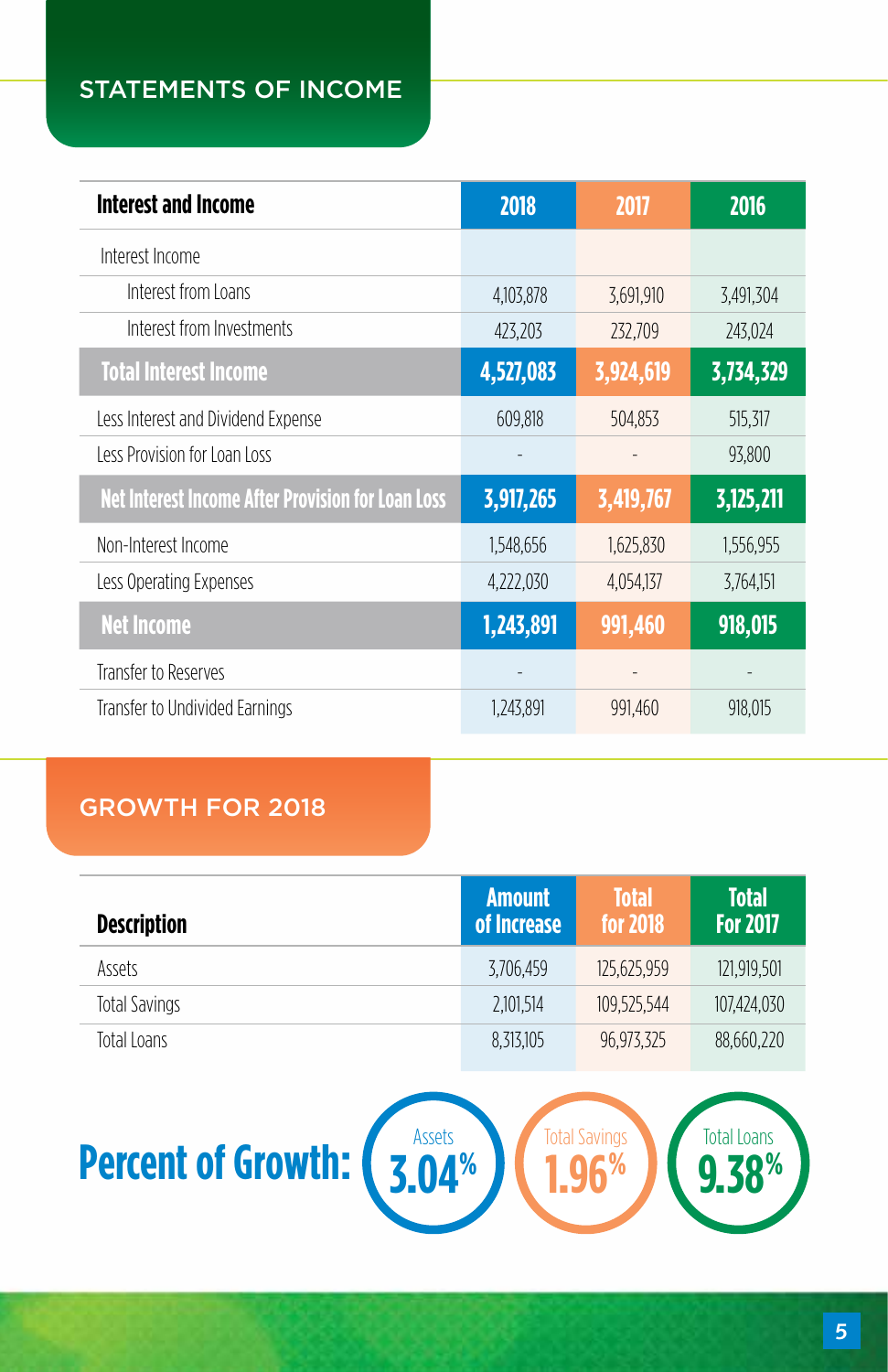# STATEMENTS OF INCOME

| <b>Interest and Income</b>                               | 2018      | 2017      | 2016      |
|----------------------------------------------------------|-----------|-----------|-----------|
| Interest Income                                          |           |           |           |
| Interest from Loans                                      | 4,103,878 | 3,691,910 | 3,491,304 |
| Interest from Investments                                | 423,203   | 232,709   | 243,024   |
| <b>Total Interest Income</b>                             | 4,527,083 | 3,924,619 | 3,734,329 |
| Less Interest and Dividend Expense                       | 609,818   | 504,853   | 515,317   |
| Less Provision for Loan Loss                             |           |           | 93,800    |
| <b>Net Interest Income After Provision for Loan Loss</b> | 3,917,265 | 3,419,767 | 3,125,211 |
| Non-Interest Income                                      | 1.548.656 | 1,625,830 | 1,556,955 |
| Less Operating Expenses                                  | 4,222,030 | 4,054,137 | 3,764,151 |
| <b>Net Income</b>                                        | 1,243,891 | 991,460   | 918,015   |
| Transfer to Reserves                                     |           |           |           |
| Transfer to Undivided Earnings                           | 1,243,891 | 991,460   | 918,015   |

# GROWTH FOR 2018

| <b>Description</b> | <b>Amount</b><br>of Increase | <b>Total</b><br>for 2018 | <b>Total</b><br><b>For 2017</b> |
|--------------------|------------------------------|--------------------------|---------------------------------|
| Assets             | 3.706.459                    | 125.625.959              | 121.919.501                     |
| Total Savings      | 2.101.514                    | 109.525.544              | 107.424.030                     |
| Total Loans        | 8.313.105                    | 96.973.325               | 88,660,220                      |

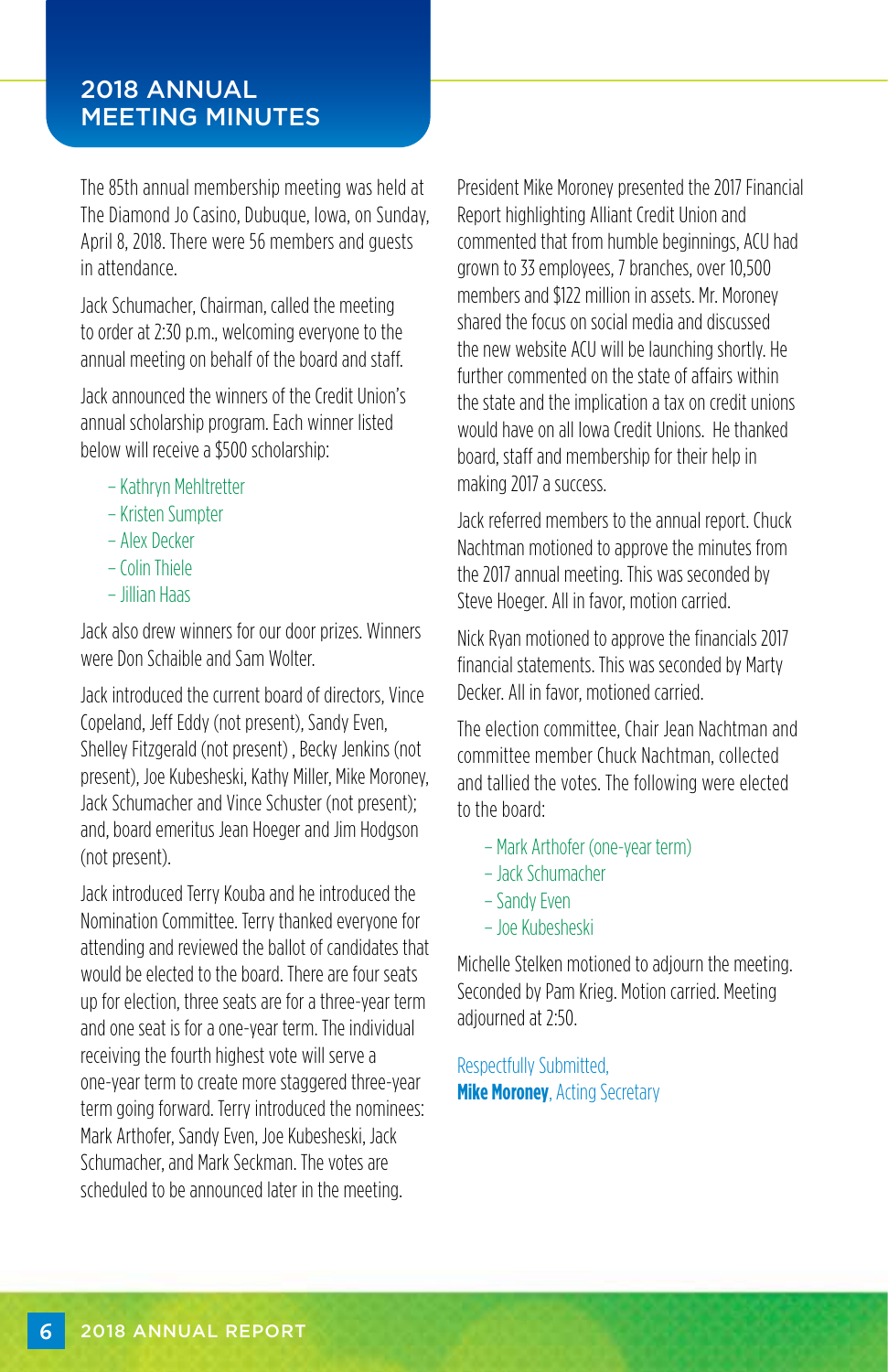#### 2018 ANNUAL MEETING MINUTES

The 85th annual membership meeting was held at The Diamond Jo Casino, Dubuque, Iowa, on Sunday, April 8, 2018. There were 56 members and guests in attendance.

Jack Schumacher, Chairman, called the meeting to order at 2:30 p.m., welcoming everyone to the annual meeting on behalf of the board and staff.

Jack announced the winners of the Credit Union's annual scholarship program. Each winner listed below will receive a \$500 scholarship:

- Kathryn Mehltretter
- Kristen Sumpter
- Alex Decker
- Colin Thiele
- Jillian Haas

Jack also drew winners for our door prizes. Winners were Don Schaible and Sam Wolter.

Jack introduced the current board of directors, Vince Copeland, Jeff Eddy (not present), Sandy Even, Shelley Fitzgerald (not present) , Becky Jenkins (not present), Joe Kubesheski, Kathy Miller, Mike Moroney, Jack Schumacher and Vince Schuster (not present); and, board emeritus Jean Hoeger and Jim Hodgson (not present).

Jack introduced Terry Kouba and he introduced the Nomination Committee. Terry thanked everyone for attending and reviewed the ballot of candidates that would be elected to the board. There are four seats up for election, three seats are for a three-year term and one seat is for a one-year term. The individual receiving the fourth highest vote will serve a one-year term to create more staggered three-year term going forward. Terry introduced the nominees: Mark Arthofer, Sandy Even, Joe Kubesheski, Jack Schumacher, and Mark Seckman. The votes are scheduled to be announced later in the meeting.

President Mike Moroney presented the 2017 Financial Report highlighting Alliant Credit Union and commented that from humble beginnings, ACU had grown to 33 employees, 7 branches, over 10,500 members and \$122 million in assets. Mr. Moroney shared the focus on social media and discussed the new website ACU will be launching shortly. He further commented on the state of affairs within the state and the implication a tax on credit unions would have on all Iowa Credit Unions. He thanked board, staff and membership for their help in making 2017 a success.

Jack referred members to the annual report. Chuck Nachtman motioned to approve the minutes from the 2017 annual meeting. This was seconded by Steve Hoeger. All in favor, motion carried.

Nick Ryan motioned to approve the financials 2017 financial statements. This was seconded by Marty Decker. All in favor, motioned carried.

The election committee, Chair Jean Nachtman and committee member Chuck Nachtman, collected and tallied the votes. The following were elected to the board:

- Mark Arthofer (one-year term)
- Jack Schumacher
- Sandy Even
- Joe Kubesheski

Michelle Stelken motioned to adjourn the meeting. Seconded by Pam Krieg. Motion carried. Meeting adjourned at 2:50.

Respectfully Submitted, **Mike Moroney**, Acting Secretary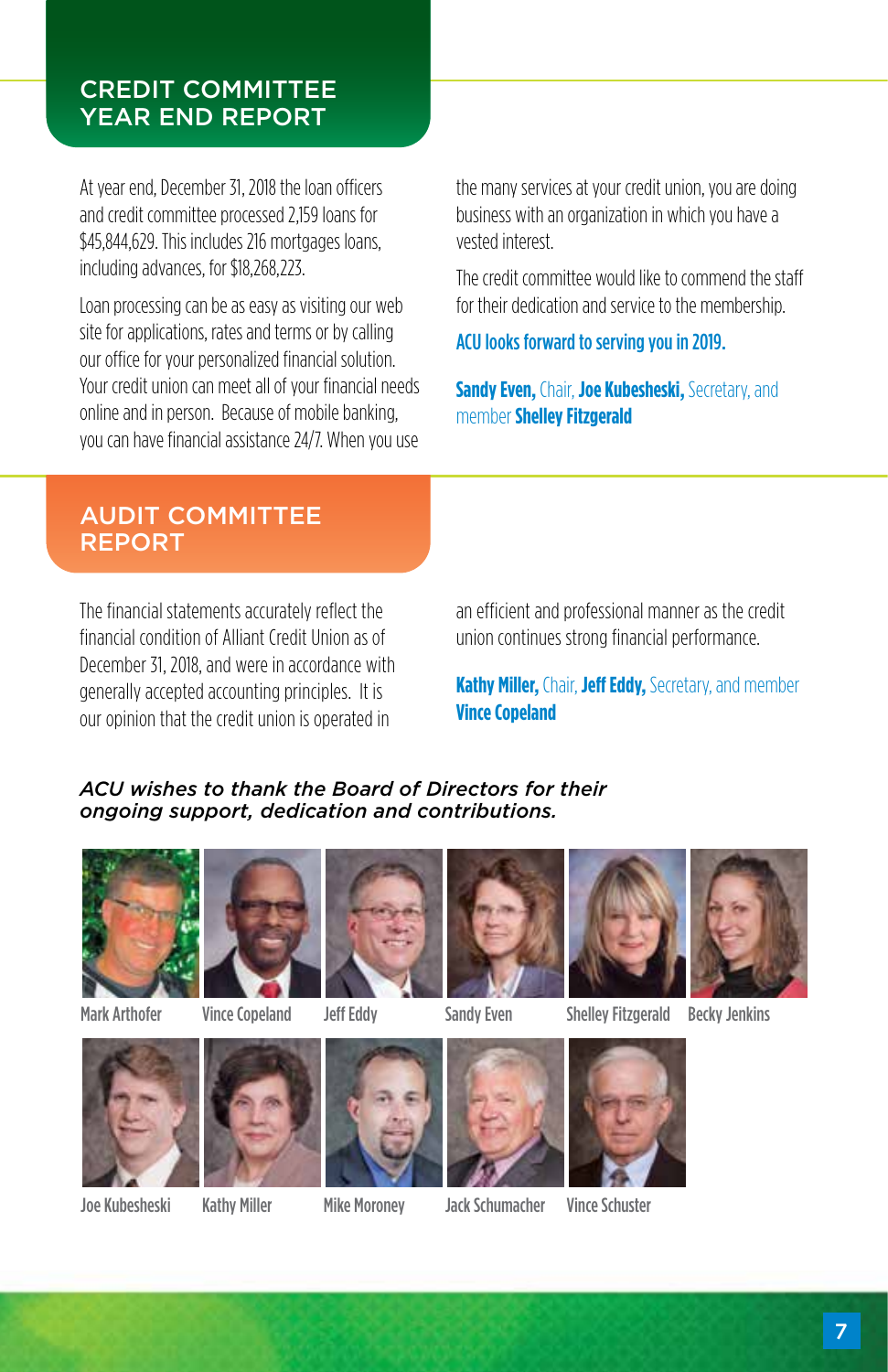#### CREDIT COMMITTEE YEAR END REPORT

At year end, December 31, 2018 the loan officers and credit committee processed 2,159 loans for \$45,844,629. This includes 216 mortgages loans, including advances, for \$18,268,223.

Loan processing can be as easy as visiting our web site for applications, rates and terms or by calling our office for your personalized financial solution. Your credit union can meet all of your financial needs online and in person. Because of mobile banking, you can have financial assistance 24/7. When you use

the many services at your credit union, you are doing business with an organization in which you have a vested interest.

The credit committee would like to commend the staff for their dedication and service to the membership.

ACU looks forward to serving you in 2019.

**Sandy Even,** Chair, **Joe Kubesheski,** Secretary, and member **Shelley Fitzgerald**

### AUDIT COMMITTEE REPORT

The financial statements accurately reflect the financial condition of Alliant Credit Union as of December 31, 2018, and were in accordance with generally accepted accounting principles. It is our opinion that the credit union is operated in

an efficient and professional manner as the credit union continues strong financial performance.

**Kathy Miller,** Chair, **Jeff Eddy,** Secretary, and member **Vince Copeland**

#### *ACU wishes to thank the Board of Directors for their ongoing support, dedication and contributions.*



Mark Arthofer Vince Copeland Jeff Eddy







Vince Copeland Jeff Eddy Sandy Even Shelley Fitzgerald Becky Jenkins